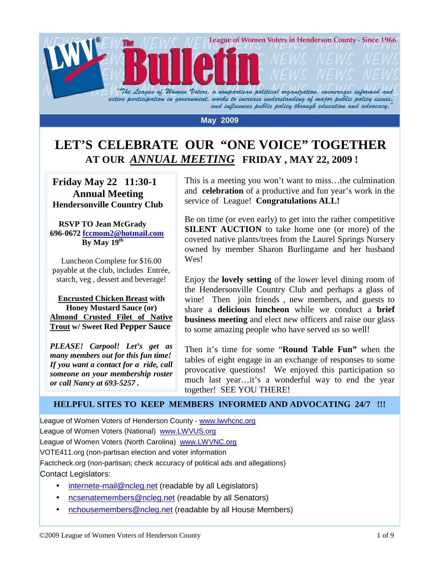

#### **May 2009**

# **LET'S CELEBRATE OUR "ONE VOICE" TOGETHER AT OUR** *ANNUAL MEETING* **FRIDAY , MAY 22, 2009 !**

 **Friday May 22 11:30-1 Annual Meeting Hendersonville Country Club** 

#### **RSVP TO Jean McGrady 696-0672 fccmom2@hotmail.com By May 19th**

Luncheon Complete for \$16.00 payable at the club, includes Entrée, starch, veg , dessert and beverage!

 **Encrusted Chicken Breast with Honey Mustard Sauce (or) Almond Crusted Filet of Native Trout w/ Sweet Red Pepper Sauce** 

*PLEASE! Carpool! Let's get as many members out for this fun time! If you want a contact for a ride, call someone on your membership roster or call Nancy at 693-5257 .* 

This is a meeting you won't want to miss…the culmination and **celebration** of a productive and fun year's work in the service of League! **Congratulations ALL!**

Be on time (or even early) to get into the rather competitive **SILENT AUCTION** to take home one (or more) of the coveted native plants/trees from the Laurel Springs Nursery owned by member Sharon Burlingame and her husband Wes!

Enjoy the **lovely setting** of the lower level dining room of the Hendersonville Country Club and perhaps a glass of wine! Then join friends , new members, and guests to share a **delicious luncheon** while we conduct a **brief business meeting** and elect new officers and raise our glass to some amazing people who have served us so well!

Then it's time for some "**Round Table Fun"** when the tables of eight engage in an exchange of responses to some provocative questions! We enjoyed this participation so much last year…it's a wonderful way to end the year together! SEE YOU THERE!

# **HELPFUL SITES TO KEEP MEMBERS INFORMED AND ADVOCATING 24/7 !!!**

League of Women Voters of Henderson County - www.lwvhcnc.org League of Women Voters (National) www.LWVUS.org League of Women Voters (North Carolina) www.LWVNC.org VOTE411.org (non-partisan election and voter information Factcheck.org (non-partisan; check accuracy of political ads and allegations) Contact Legislators:

- internete-mail@ncleg.net (readable by all Legislators)
- ncsenatemembers@ncleg.net (readable by all Senators)
- nchousemembers@ncleg.net (readable by all House Members)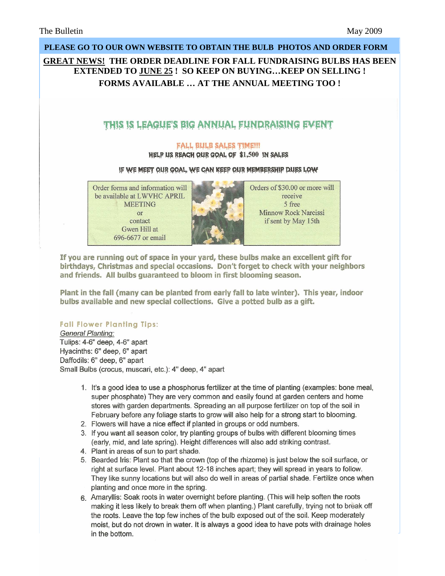# **PLEASE GO TO OUR OWN WEBSITE TO OBTAIN THE BULB PHOTOS AND ORDER FORM GREAT NEWS! THE ORDER DEADLINE FOR FALL FUNDRAISING BULBS HAS BEEN EXTENDED TO JUNE 25 ! SO KEEP ON BUYING…KEEP ON SELLING ! FORMS AVAILABLE … AT THE ANNUAL MEETING TOO !** THIS IS LEAGUE'S BIG ANNUAL FUNDRAISING EVENT **FALL BULB SALES TIME!!!** HELP US REACH OUR GOAL OF \$1,500 IN SALES IF WE MEET OUR GOAL, WE CAN KEEP OUR MEMBERSHIP DUES LOW Order forms and information will Orders of \$30.00 or more will be available at LWVHC APRIL receive **MEETING** 5 free Minnow Rock Narcissi or contact if sent by May 15th Gwen Hill at 696-6677 or email

If you are running out of space in your vard, these bulbs make an excellent gift for birthdays, Christmas and special occasions. Don't forget to check with your neighbors and friends. All bulbs quaranteed to bloom in first blooming season.

Plant in the fall (many can be planted from early fall to late winter). This year, indoor bulbs available and new special collections. Give a potted bulb as a gift.

#### **Fall Flower Planting Tips:**

**General Planting:** Tulips: 4-6" deep. 4-6" apart Hyacinths: 6" deep, 6" apart Daffodils: 6" deep, 6" apart Small Bulbs (crocus, muscari, etc.): 4" deep, 4" apart

- 1. It's a good idea to use a phosphorus fertilizer at the time of planting (examples: bone meal, super phosphate) They are very common and easily found at garden centers and home stores with garden departments. Spreading an all purpose fertilizer on top of the soil in February before any foliage starts to grow will also help for a strong start to blooming.
- 2. Flowers will have a nice effect if planted in groups or odd numbers.
- 3. If you want all season color, try planting groups of bulbs with different blooming times (early, mid, and late spring). Height differences will also add striking contrast.
- 4. Plant in areas of sun to part shade.
- 5. Bearded Iris: Plant so that the crown (top of the rhizome) is just below the soil surface, or right at surface level. Plant about 12-18 inches apart; they will spread in years to follow. They like sunny locations but will also do well in areas of partial shade. Fertilize once when planting and once more in the spring.
- 6. Amaryllis: Soak roots in water overnight before planting. (This will help soften the roots making it less likely to break them off when planting.) Plant carefully, trying not to break off the roots. Leave the top few inches of the bulb exposed out of the soil. Keep moderately moist, but do not drown in water. It is always a good idea to have pots with drainage holes in the bottom.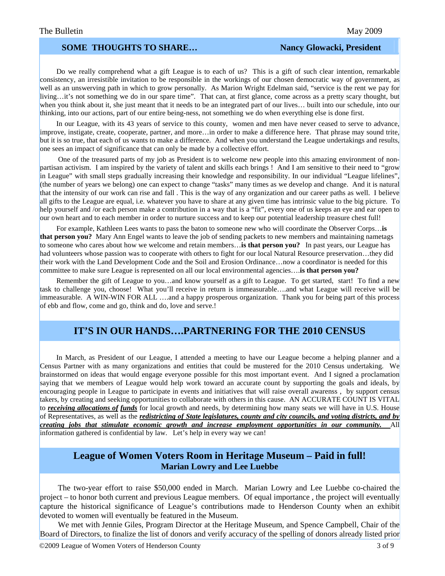### **SOME THOUGHTS TO SHARE...** Nancy Glowacki, President

 Do we really comprehend what a gift League is to each of us? This is a gift of such clear intention, remarkable consistency, an irresistible invitation to be responsible in the workings of our chosen democratic way of government, as well as an unswerving path in which to grow personally. As Marion Wright Edelman said, "service is the rent we pay for living…it's not something we do in our spare time". That can, at first glance, come across as a pretty scary thought, but when you think about it, she just meant that it needs to be an integrated part of our lives... built into our schedule, into our thinking, into our actions, part of our entire being-ness, not something we do when everything else is done first.

 In our League, with its 43 years of service to this county, women and men have never ceased to serve to advance, improve, instigate, create, cooperate, partner, and more…in order to make a difference here. That phrase may sound trite, but it is so true, that each of us wants to make a difference. And when you understand the League undertakings and results, one sees an impact of significance that can only be made by a collective effort.

 One of the treasured parts of my job as President is to welcome new people into this amazing environment of nonpartisan activism. I am inspired by the variety of talent and skills each brings ! And I am sensitive to their need to "grow in League" with small steps gradually increasing their knowledge and responsibility. In our individual "League lifelines", (the number of years we belong) one can expect to change "tasks" many times as we develop and change. And it is natural that the intensity of our work can rise and fall . This is the way of any organization and our career paths as well. I believe all gifts to the League are equal, i.e. whatever you have to share at any given time has intrinsic value to the big picture. To help yourself and /or each person make a contribution in a way that is a "fit", every one of us keeps an eye and ear open to our own heart and to each member in order to nurture success and to keep our potential leadership treasure chest full!

 For example, Kathleen Lees wants to pass the baton to someone new who will coordinate the Observer Corps…**is that person you?** Mary Ann Engel wants to leave the job of sending packets to new members and maintaining nametags to someone who cares about how we welcome and retain members…**is that person you?** In past years, our League has had volunteers whose passion was to cooperate with others to fight for our local Natural Resource preservation…they did their work with the Land Development Code and the Soil and Erosion Ordinance…now a coordinator is needed for this committee to make sure League is represented on all our local environmental agencies….**is that person you?**

Remember the gift of League to you...and know yourself as a gift to League. To get started, start! To find a new task to challenge you, choose! What you'll receive in return is immeasurable….and what League will receive will be immeasurable. A WIN-WIN FOR ALL ….and a happy prosperous organization. Thank you for being part of this process of ebb and flow, come and go, think and do, love and serve.!

# **IT'S IN OUR HANDS….PARTNERING FOR THE 2010 CENSUS**

 In March, as President of our League, I attended a meeting to have our League become a helping planner and a Census Partner with as many organizations and entities that could be mustered for the 2010 Census undertaking. We brainstormed on ideas that would engage everyone possible for this most important event. And I signed a proclamation saying that we members of League would help work toward an accurate count by supporting the goals and ideals, by encouraging people in League to participate in events and initiatives that will raise overall awarenss , by support census takers, by creating and seeking opportunities to collaborate with others in this cause. AN ACCURATE COUNT IS VITAL to *receiving allocations of funds* for local growth and needs, by determining how many seats we will have in U.S. House of Representatives, as well as the *redistricting of State legislatures, county and city councils, and voting districts, and by creating jobs that stimulate economic growth and increase employment opportunities in our community.* All information gathered is confidential by law. Let's help in every way we can!

# **League of Women Voters Room in Heritage Museum – Paid in full! Marian Lowry and Lee Luebbe**

 The two-year effort to raise \$50,000 ended in March. Marian Lowry and Lee Luebbe co-chaired the project – to honor both current and previous League members. Of equal importance , the project will eventually capture the historical significance of League's contributions made to Henderson County when an exhibit devoted to women will eventually be featured in the Museum.

 We met with Jennie Giles, Program Director at the Heritage Museum, and Spence Campbell, Chair of the Board of Directors, to finalize the list of donors and verify accuracy of the spelling of donors already listed prior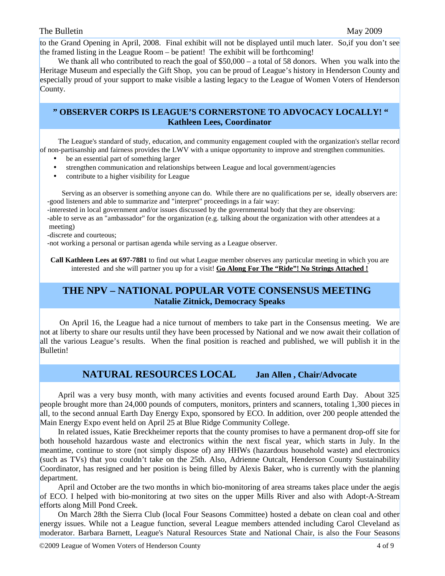# The Bulletin May 2009

to the Grand Opening in April, 2008. Final exhibit will not be displayed until much later. So,if you don't see the framed listing in the League Room – be patient! The exhibit will be forthcoming!

We thank all who contributed to reach the goal of \$50,000 – a total of 58 donors. When you walk into the Heritage Museum and especially the Gift Shop, you can be proud of League's history in Henderson County and especially proud of your support to make visible a lasting legacy to the League of Women Voters of Henderson County.

#### **" OBSERVER CORPS IS LEAGUE'S CORNERSTONE TO ADVOCACY LOCALLY! " Kathleen Lees, Coordinator**

 The League's standard of study, education, and community engagement coupled with the organization's stellar record of non-partisanship and fairness provides the LWV with a unique opportunity to improve and strengthen communities.

- be an essential part of something larger
- strengthen communication and relationships between League and local government/agencies
- contribute to a higher visibility for League

 Serving as an observer is something anyone can do. While there are no qualifications per se, ideally observers are: -good listeners and able to summarize and "interpret" proceedings in a fair way:

 -interested in local government and/or issues discussed by the governmental body that they are observing: -able to serve as an "ambassador" for the organization (e.g. talking about the organization with other attendees at a meeting)

-discrete and courteous;

-not working a personal or partisan agenda while serving as a League observer.

**Call Kathleen Lees at 697-7881** to find out what League member observes any particular meeting in which you are interested and she will partner you up for a visit! **Go Along For The "Ride"! No Strings Attached !**

# **THE NPV – NATIONAL POPULAR VOTE CONSENSUS MEETING Natalie Zitnick, Democracy Speaks**

 On April 16, the League had a nice turnout of members to take part in the Consensus meeting. We are not at liberty to share our results until they have been processed by National and we now await their collation of all the various League's results. When the final position is reached and published, we will publish it in the Bulletin!

# **NATURAL RESOURCES LOCAL Jan Allen , Chair/Advocate**

 April was a very busy month, with many activities and events focused around Earth Day. About 325 people brought more than 24,000 pounds of computers, monitors, printers and scanners, totaling 1,300 pieces in all, to the second annual Earth Day Energy Expo, sponsored by ECO. In addition, over 200 people attended the Main Energy Expo event held on April 25 at Blue Ridge Community College.

 In related issues, Katie Breckheimer reports that the county promises to have a permanent drop-off site for both household hazardous waste and electronics within the next fiscal year, which starts in July. In the meantime, continue to store (not simply dispose of) any HHWs (hazardous household waste) and electronics (such as TVs) that you couldn't take on the 25th. Also, Adrienne Outcalt, Henderson County Sustainability Coordinator, has resigned and her position is being filled by Alexis Baker, who is currently with the planning department.

 April and October are the two months in which bio-monitoring of area streams takes place under the aegis of ECO. I helped with bio-monitoring at two sites on the upper Mills River and also with Adopt-A-Stream efforts along Mill Pond Creek.

 On March 28th the Sierra Club (local Four Seasons Committee) hosted a debate on clean coal and other energy issues. While not a League function, several League members attended including Carol Cleveland as moderator. Barbara Barnett, League's Natural Resources State and National Chair, is also the Four Seasons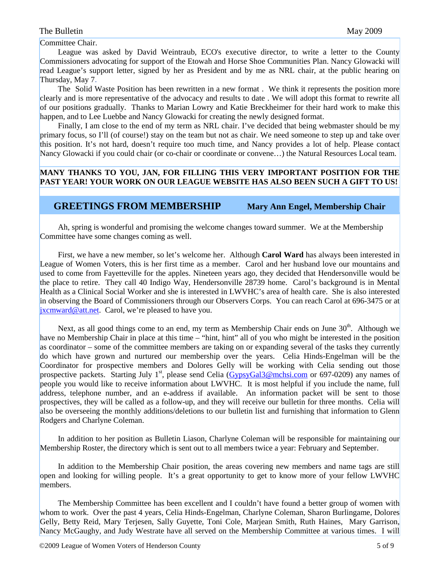Committee Chair.

 League was asked by David Weintraub, ECO's executive director, to write a letter to the County Commissioners advocating for support of the Etowah and Horse Shoe Communities Plan. Nancy Glowacki will read League's support letter, signed by her as President and by me as NRL chair, at the public hearing on Thursday, May 7.

 The Solid Waste Position has been rewritten in a new format . We think it represents the position more clearly and is more representative of the advocacy and results to date . We will adopt this format to rewrite all of our positions gradually. Thanks to Marian Lowry and Katie Breckheimer for their hard work to make this happen, and to Lee Luebbe and Nancy Glowacki for creating the newly designed format.

Finally, I am close to the end of my term as NRL chair. I've decided that being webmaster should be my primary focus, so I'll (of course!) stay on the team but not as chair. We need someone to step up and take over this position. It's not hard, doesn't require too much time, and Nancy provides a lot of help. Please contact Nancy Glowacki if you could chair (or co-chair or coordinate or convene…) the Natural Resources Local team.

# **MANY THANKS TO YOU, JAN, FOR FILLING THIS VERY IMPORTANT POSITION FOR THE PAST YEAR! YOUR WORK ON OUR LEAGUE WEBSITE HAS ALSO BEEN SUCH A GIFT TO US!**

### **GREETINGS FROM MEMBERSHIP Mary Ann Engel, Membership Chair**

 Ah, spring is wonderful and promising the welcome changes toward summer. We at the Membership Committee have some changes coming as well.

 First, we have a new member, so let's welcome her. Although **Carol Ward** has always been interested in League of Women Voters, this is her first time as a member. Carol and her husband love our mountains and used to come from Fayetteville for the apples. Nineteen years ago, they decided that Hendersonville would be the place to retire. They call 40 Indigo Way, Hendersonville 28739 home. Carol's background is in Mental Health as a Clinical Social Worker and she is interested in LWVHC's area of health care. She is also interested in observing the Board of Commissioners through our Observers Corps. You can reach Carol at 696-3475 or at  $ixcmward@att.net$ . Carol, we're pleased to have you.

Next, as all good things come to an end, my term as Membership Chair ends on June 30<sup>th</sup>. Although we have no Membership Chair in place at this time – "hint, hint" all of you who might be interested in the position as coordinator – some of the committee members are taking on or expanding several of the tasks they currently do which have grown and nurtured our membership over the years. Celia Hinds-Engelman will be the Coordinator for prospective members and Dolores Gelly will be working with Celia sending out those prospective packets. Starting July  $1<sup>st</sup>$ , please send Celia (GypsyGal3@mchsi.com or 697-0209) any names of people you would like to receive information about LWVHC. It is most helpful if you include the name, full address, telephone number, and an e-address if available. An information packet will be sent to those prospectives, they will be called as a follow-up, and they will receive our bulletin for three months. Celia will also be overseeing the monthly additions/deletions to our bulletin list and furnishing that information to Glenn Rodgers and Charlyne Coleman.

 In addition to her position as Bulletin Liason, Charlyne Coleman will be responsible for maintaining our Membership Roster, the directory which is sent out to all members twice a year: February and September.

 In addition to the Membership Chair position, the areas covering new members and name tags are still open and looking for willing people. It's a great opportunity to get to know more of your fellow LWVHC members.

 The Membership Committee has been excellent and I couldn't have found a better group of women with whom to work. Over the past 4 years, Celia Hinds-Engelman, Charlyne Coleman, Sharon Burlingame, Dolores Gelly, Betty Reid, Mary Terjesen, Sally Guyette, Toni Cole, Marjean Smith, Ruth Haines, Mary Garrison, Nancy McGaughy, and Judy Westrate have all served on the Membership Committee at various times. I will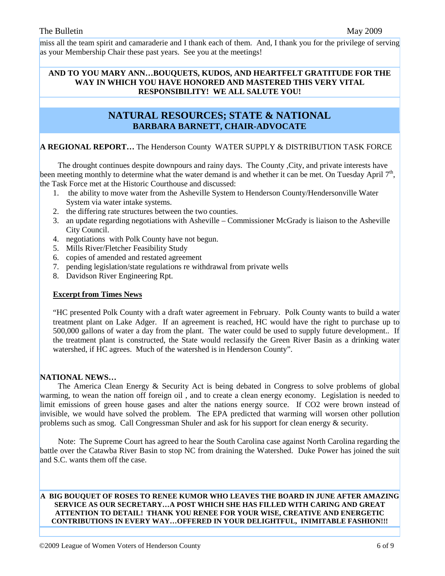miss all the team spirit and camaraderie and I thank each of them. And, I thank you for the privilege of serving as your Membership Chair these past years. See you at the meetings!

#### **AND TO YOU MARY ANN…BOUQUETS, KUDOS, AND HEARTFELT GRATITUDE FOR THE WAY IN WHICH YOU HAVE HONORED AND MASTERED THIS VERY VITAL RESPONSIBILITY! WE ALL SALUTE YOU!**

# **NATURAL RESOURCES; STATE & NATIONAL BARBARA BARNETT, CHAIR-ADVOCATE**

# **A REGIONAL REPORT…** The Henderson County WATER SUPPLY & DISTRIBUTION TASK FORCE

 The drought continues despite downpours and rainy days. The County ,City, and private interests have been meeting monthly to determine what the water demand is and whether it can be met. On Tuesday April  $7<sup>th</sup>$ , the Task Force met at the Historic Courthouse and discussed:

- 1. the ability to move water from the Asheville System to Henderson County/Hendersonville Water System via water intake systems.
- 2. the differing rate structures between the two counties.
- 3. an update regarding negotiations with Asheville Commissioner McGrady is liaison to the Asheville City Council.
- 4. negotiations with Polk County have not begun.
- 5. Mills River/Fletcher Feasibility Study
- 6. copies of amended and restated agreement
- 7. pending legislation/state regulations re withdrawal from private wells
- 8. Davidson River Engineering Rpt.

#### **Excerpt from Times News**

"HC presented Polk County with a draft water agreement in February. Polk County wants to build a water treatment plant on Lake Adger. If an agreement is reached, HC would have the right to purchase up to 500,000 gallons of water a day from the plant. The water could be used to supply future development.. If the treatment plant is constructed, the State would reclassify the Green River Basin as a drinking water watershed, if HC agrees. Much of the watershed is in Henderson County".

#### **NATIONAL NEWS…**

 The America Clean Energy & Security Act is being debated in Congress to solve problems of global warming, to wean the nation off foreign oil , and to create a clean energy economy. Legislation is needed to limit emissions of green house gases and alter the nations energy source. If CO2 were brown instead of invisible, we would have solved the problem. The EPA predicted that warming will worsen other pollution problems such as smog. Call Congressman Shuler and ask for his support for clean energy & security.

 Note: The Supreme Court has agreed to hear the South Carolina case against North Carolina regarding the battle over the Catawba River Basin to stop NC from draining the Watershed. Duke Power has joined the suit and S.C. wants them off the case.

#### **A BIG BOUQUET OF ROSES TO RENEE KUMOR WHO LEAVES THE BOARD IN JUNE AFTER AMAZING SERVICE AS OUR SECRETARY…A POST WHICH SHE HAS FILLED WITH CARING AND GREAT ATTENTION TO DETAIL! THANK YOU RENEE FOR YOUR WISE, CREATIVE AND ENERGETIC CONTRIBUTIONS IN EVERY WAY…OFFERED IN YOUR DELIGHTFUL, INIMITABLE FASHION!!!**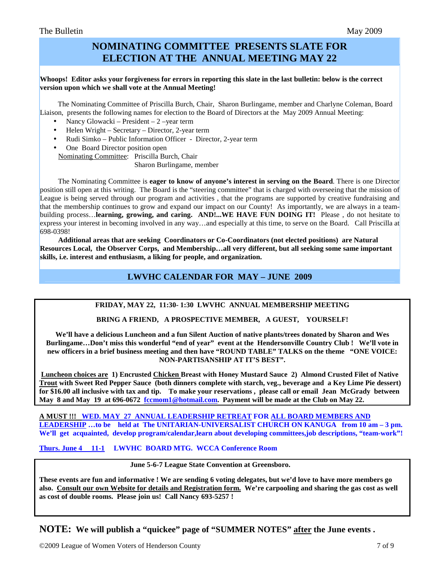# **NOMINATING COMMITTEE PRESENTS SLATE FOR ELECTION AT THE ANNUAL MEETING MAY 22**

#### **Whoops! Editor asks your forgiveness for errors in reporting this slate in the last bulletin: below is the correct version upon which we shall vote at the Annual Meeting!**

 The Nominating Committee of Priscilla Burch, Chair, Sharon Burlingame, member and Charlyne Coleman, Board Liaison, presents the following names for election to the Board of Directors at the May 2009 Annual Meeting:

- Nancy Glowacki President 2 –year term
- Helen Wright Secretary Director, 2-year term
- Rudi Simko Public Information Officer Director, 2-year term
- One Board Director position open Nominating Committee: Priscilla Burch, Chair Sharon Burlingame, member

 The Nominating Committee is **eager to know of anyone's interest in serving on the Board**. There is one Director position still open at this writing. The Board is the "steering committee" that is charged with overseeing that the mission of League is being served through our program and activities , that the programs are supported by creative fundraising and that the membership continues to grow and expand our impact on our County! As importantly, we are always in a teambuilding process…**learning, growing, and caring. AND!...WE HAVE FUN DOING IT!** Please , do not hesitate to express your interest in becoming involved in any way…and especially at this time, to serve on the Board. Call Priscilla at 698-0398!

 **Additional areas that are seeking Coordinators or Co-Coordinators (not elected positions) are Natural Resources Local, the Observer Corps, and Membership…all very different, but all seeking some same important skills, i.e. interest and enthusiasm, a liking for people, and organization.** 

# **LWVHC CALENDAR FOR MAY – JUNE 2009**

#### **FRIDAY, MAY 22, 11:30- 1:30 LWVHC ANNUAL MEMBERSHIP MEETING**

#### **BRING A FRIEND, A PROSPECTIVE MEMBER, A GUEST, YOURSELF!**

**We'll have a delicious Luncheon and a fun Silent Auction of native plants/trees donated by Sharon and Wes Burlingame…Don't miss this wonderful "end of year" event at the Hendersonville Country Club ! We'll vote in new officers in a brief business meeting and then have "ROUND TABLE" TALKS on the theme "ONE VOICE: NON-PARTISANSHIP AT IT'S BEST".** 

 **Luncheon choices are 1) Encrusted Chicken Breast with Honey Mustard Sauce 2) Almond Crusted Filet of Native Trout with Sweet Red Pepper Sauce (both dinners complete with starch, veg., beverage and a Key Lime Pie dessert) for \$16.00 all inclusive with tax and tip. To make your reservations , please call or email Jean McGrady between May 8 and May 19 at 696-0672 fccmom1@hotmail.com. Payment will be made at the Club on May 22.** 

**A MUST !!! WED. MAY 27 ANNUAL LEADERSHIP RETREAT FOR ALL BOARD MEMBERS AND**  LEADERSHIP ...to be held at The UNITARIAN-UNIVERSALIST CHURCH ON KANUGA from 10 am – 3 pm. **We'll get acquainted, develop program/calendar,learn about developing committees,job descriptions, "team-work"!** 

**Thurs. June 4 11-1 LWVHC BOARD MTG. WCCA Conference Room** 

 **June 5-6-7 League State Convention at Greensboro.** 

**These events are fun and informative ! We are sending 6 voting delegates, but we'd love to have more members go also. Consult our own Website for details and Registration form. We're carpooling and sharing the gas cost as well as cost of double rooms. Please join us! Call Nancy 693-5257 !** 

**NOTE: We will publish a "quickee" page of "SUMMER NOTES" after the June events .**